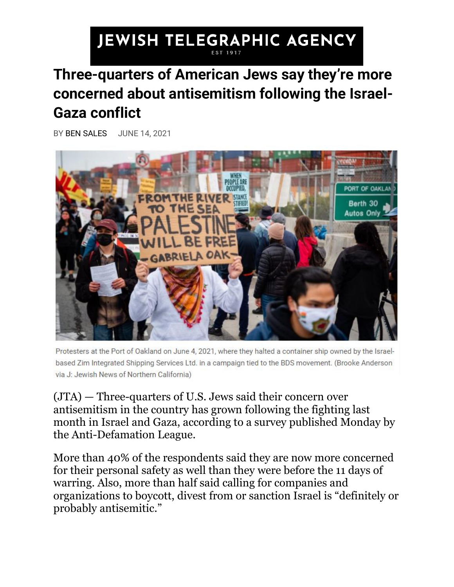## **JEWISH TELEGRAPHIC AGENCY**

## **Three-quarters of American Jews say they're more concerned about antisemitism following the Israel-Gaza conflict**

BY [BEN SALES](https://www.jta.org/author/ben-sales) JUNE 14, 2021



Protesters at the Port of Oakland on June 4, 2021, where they halted a container ship owned by the Israelbased Zim Integrated Shipping Services Ltd. in a campaign tied to the BDS movement. (Brooke Anderson via J: Jewish News of Northern California)

[\(JTA\)](http://www.jta.org/) — Three-quarters of U.S. Jews said their concern over antisemitism in the country has grown following the fighting last month in Israel and Gaza, according to a survey published Monday by the Anti-Defamation League.

More than 40% of the respondents said they are now more concerned for their personal safety as well than they were before the 11 days of warring. Also, more than half said calling for companies and organizations to boycott, divest from or sanction Israel is "definitely or probably antisemitic."